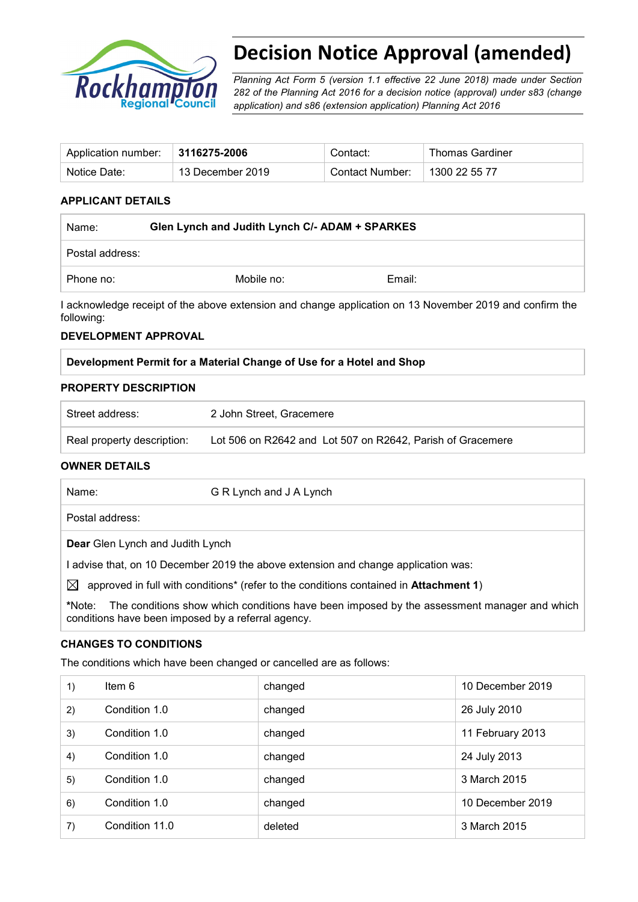

# **Decision Notice Approval (amended)**

*Planning Act Form 5 (version 1.1 effective 22 June 2018) made under Section 282 of the Planning Act 2016 for a decision notice (approval) under s83 (change application) and s86 (extension application) Planning Act 2016* 

| Application number: $\parallel$ 3116275-2006 |                  | Contact:        | <b>Thomas Gardiner</b> |
|----------------------------------------------|------------------|-----------------|------------------------|
| Notice Date:                                 | 13 December 2019 | Contact Number: | 1300 22 55 77          |

#### **APPLICANT DETAILS**

| Name:           | Glen Lynch and Judith Lynch C/- ADAM + SPARKES |        |
|-----------------|------------------------------------------------|--------|
| Postal address: |                                                |        |
| Phone no:       | Mobile no:                                     | Email: |

I acknowledge receipt of the above extension and change application on 13 November 2019 and confirm the following:

#### **DEVELOPMENT APPROVAL**

#### **Development Permit for a Material Change of Use for a Hotel and Shop**

#### **PROPERTY DESCRIPTION**

| Street address:            | 2 John Street, Gracemere                                   |
|----------------------------|------------------------------------------------------------|
| Real property description: | Lot 506 on R2642 and Lot 507 on R2642, Parish of Gracemere |

#### **OWNER DETAILS**

| Name:     | G R Lynch and J A Lynch                                                                      |
|-----------|----------------------------------------------------------------------------------------------|
|           | Postal address:                                                                              |
|           | <b>Dear</b> Glen Lynch and Judith Lynch                                                      |
|           | advise that, on 10 December 2019 the above extension and change application was:             |
| $\bowtie$ | approved in full with conditions* (refer to the conditions contained in <b>Attachment 1)</b> |
| *Note∙    | The conditions show which conditions have been imposed by the assessment manager and which   |

**\***Note:The conditions show which conditions have been imposed by the assessment manager and which conditions have been imposed by a referral agency.

#### **CHANGES TO CONDITIONS**

The conditions which have been changed or cancelled are as follows:

| 1) | Item $6$       | changed | 10 December 2019 |
|----|----------------|---------|------------------|
| 2) | Condition 1.0  | changed | 26 July 2010     |
| 3) | Condition 1.0  | changed | 11 February 2013 |
| 4) | Condition 1.0  | changed | 24 July 2013     |
| 5) | Condition 1.0  | changed | 3 March 2015     |
| 6) | Condition 1.0  | changed | 10 December 2019 |
| 7) | Condition 11.0 | deleted | 3 March 2015     |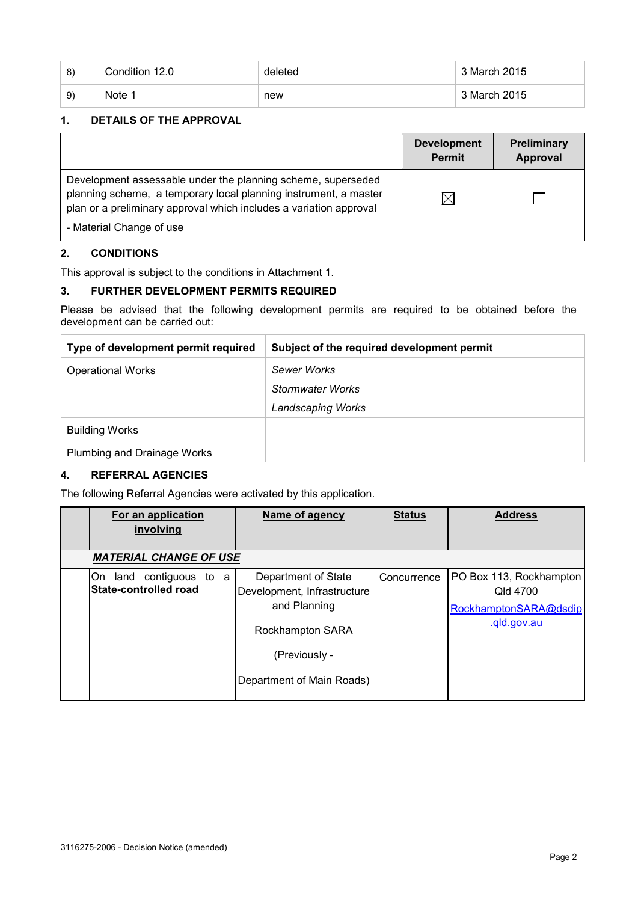| -8) | Condition 12.0 | deleted | 3 March 2015 |
|-----|----------------|---------|--------------|
| -9) | Note 1         | new     | 3 March 2015 |

#### **1. DETAILS OF THE APPROVAL**

|                                                                                                                                                                                                        | <b>Development</b><br><b>Permit</b> | Preliminary<br>Approval |
|--------------------------------------------------------------------------------------------------------------------------------------------------------------------------------------------------------|-------------------------------------|-------------------------|
| Development assessable under the planning scheme, superseded<br>planning scheme, a temporary local planning instrument, a master<br>plan or a preliminary approval which includes a variation approval | $\times$                            |                         |
| - Material Change of use                                                                                                                                                                               |                                     |                         |

#### **2. CONDITIONS**

This approval is subject to the conditions in Attachment 1.

## **3. FURTHER DEVELOPMENT PERMITS REQUIRED**

Please be advised that the following development permits are required to be obtained before the development can be carried out:

| Type of development permit required | Subject of the required development permit |
|-------------------------------------|--------------------------------------------|
| <b>Operational Works</b>            | Sewer Works                                |
|                                     | Stormwater Works                           |
|                                     | <b>Landscaping Works</b>                   |
| <b>Building Works</b>               |                                            |
| Plumbing and Drainage Works         |                                            |

## **4. REFERRAL AGENCIES**

The following Referral Agencies were activated by this application.

| For an application<br>involving                         | Name of agency                                                                                                                              | <b>Status</b> | <b>Address</b>                                                              |
|---------------------------------------------------------|---------------------------------------------------------------------------------------------------------------------------------------------|---------------|-----------------------------------------------------------------------------|
| <b>MATERIAL CHANGE OF USE</b>                           |                                                                                                                                             |               |                                                                             |
| On land contiguous to a<br><b>State-controlled road</b> | Department of State<br>Development, Infrastructure<br>and Planning<br><b>Rockhampton SARA</b><br>(Previously -<br>Department of Main Roads) | Concurrence   | PO Box 113, Rockhampton<br>Qld 4700<br>RockhamptonSARA@dsdip<br>.qld.gov.au |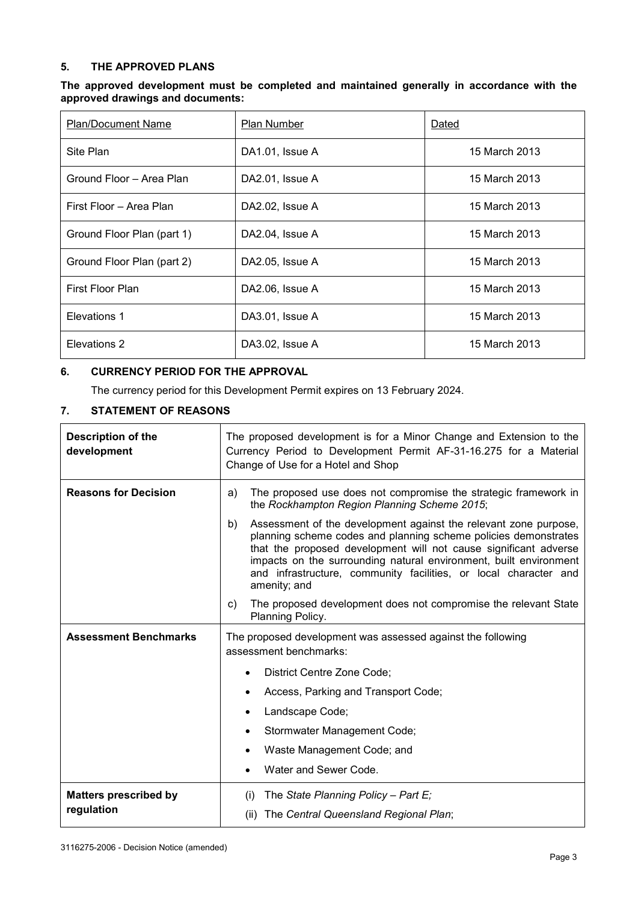#### **5. THE APPROVED PLANS**

| The approved development must be completed and maintained generally in accordance with the |  |  |  |  |  |
|--------------------------------------------------------------------------------------------|--|--|--|--|--|
| approved drawings and documents:                                                           |  |  |  |  |  |

| <b>Plan/Document Name</b>  | <b>Plan Number</b> | Dated         |
|----------------------------|--------------------|---------------|
| Site Plan                  | DA1.01, Issue A    | 15 March 2013 |
| Ground Floor - Area Plan   | DA2.01, Issue A    | 15 March 2013 |
| First Floor - Area Plan    | DA2.02, Issue A    | 15 March 2013 |
| Ground Floor Plan (part 1) | DA2.04, Issue A    | 15 March 2013 |
| Ground Floor Plan (part 2) | DA2.05, Issue A    | 15 March 2013 |
| First Floor Plan           | DA2.06, Issue A    | 15 March 2013 |
| Elevations 1               | DA3.01, Issue A    | 15 March 2013 |
| Elevations 2               | DA3.02, Issue A    | 15 March 2013 |

#### **6. CURRENCY PERIOD FOR THE APPROVAL**

The currency period for this Development Permit expires on 13 February 2024.

## **7. STATEMENT OF REASONS**

| <b>Description of the</b><br>development   | The proposed development is for a Minor Change and Extension to the<br>Currency Period to Development Permit AF-31-16.275 for a Material<br>Change of Use for a Hotel and Shop                                                                                                                                                                                         |  |  |
|--------------------------------------------|------------------------------------------------------------------------------------------------------------------------------------------------------------------------------------------------------------------------------------------------------------------------------------------------------------------------------------------------------------------------|--|--|
| <b>Reasons for Decision</b>                | The proposed use does not compromise the strategic framework in<br>a)<br>the Rockhampton Region Planning Scheme 2015;                                                                                                                                                                                                                                                  |  |  |
|                                            | b)<br>Assessment of the development against the relevant zone purpose,<br>planning scheme codes and planning scheme policies demonstrates<br>that the proposed development will not cause significant adverse<br>impacts on the surrounding natural environment, built environment<br>and infrastructure, community facilities, or local character and<br>amenity; and |  |  |
|                                            | The proposed development does not compromise the relevant State<br>C)<br>Planning Policy.                                                                                                                                                                                                                                                                              |  |  |
| <b>Assessment Benchmarks</b>               | The proposed development was assessed against the following<br>assessment benchmarks:                                                                                                                                                                                                                                                                                  |  |  |
|                                            | District Centre Zone Code;                                                                                                                                                                                                                                                                                                                                             |  |  |
|                                            | Access, Parking and Transport Code;                                                                                                                                                                                                                                                                                                                                    |  |  |
|                                            | Landscape Code;                                                                                                                                                                                                                                                                                                                                                        |  |  |
|                                            | Stormwater Management Code;                                                                                                                                                                                                                                                                                                                                            |  |  |
|                                            | Waste Management Code; and                                                                                                                                                                                                                                                                                                                                             |  |  |
|                                            | Water and Sewer Code.                                                                                                                                                                                                                                                                                                                                                  |  |  |
| <b>Matters prescribed by</b><br>regulation | The State Planning Policy - Part $E_i$<br>(i)<br>(ii) The Central Queensland Regional Plan;                                                                                                                                                                                                                                                                            |  |  |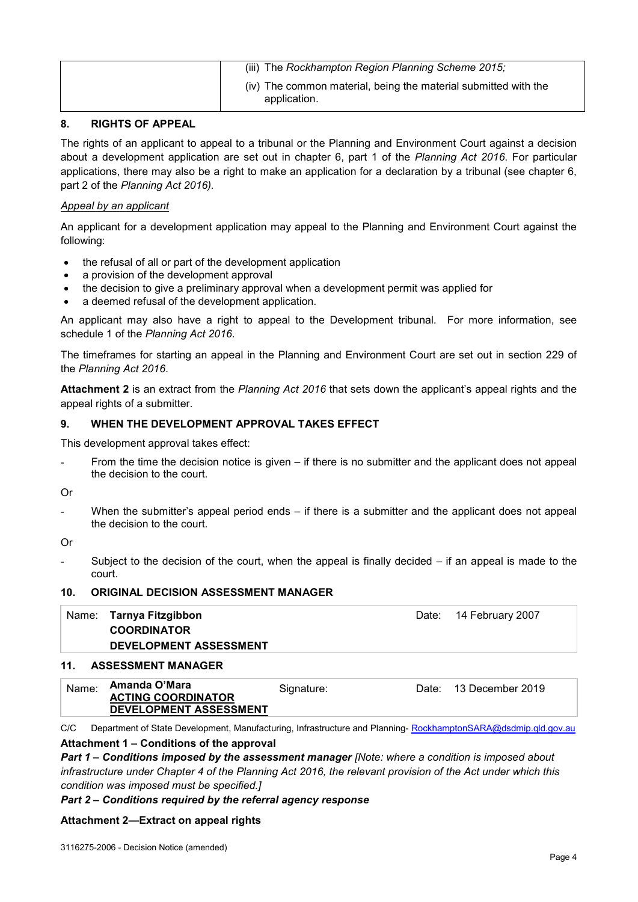| (iii) The Rockhampton Region Planning Scheme 2015;                              |
|---------------------------------------------------------------------------------|
| (iv) The common material, being the material submitted with the<br>application. |

#### **8. RIGHTS OF APPEAL**

The rights of an applicant to appeal to a tribunal or the Planning and Environment Court against a decision about a development application are set out in chapter 6, part 1 of the *Planning Act 2016*. For particular applications, there may also be a right to make an application for a declaration by a tribunal (see chapter 6, part 2 of the *Planning Act 2016).*

#### *Appeal by an applicant*

An applicant for a development application may appeal to the Planning and Environment Court against the following:

- the refusal of all or part of the development application
- a provision of the development approval
- the decision to give a preliminary approval when a development permit was applied for
- a deemed refusal of the development application.

An applicant may also have a right to appeal to the Development tribunal. For more information, see schedule 1 of the *Planning Act 2016*.

The timeframes for starting an appeal in the Planning and Environment Court are set out in section 229 of the *Planning Act 2016*.

**Attachment 2** is an extract from the *Planning Act 2016* that sets down the applicant's appeal rights and the appeal rights of a submitter.

#### **9. WHEN THE DEVELOPMENT APPROVAL TAKES EFFECT**

This development approval takes effect:

From the time the decision notice is given  $-$  if there is no submitter and the applicant does not appeal the decision to the court.

Or

When the submitter's appeal period ends  $-$  if there is a submitter and the applicant does not appeal the decision to the court.

Or

Subject to the decision of the court, when the appeal is finally decided  $-$  if an appeal is made to the court.

#### **10. ORIGINAL DECISION ASSESSMENT MANAGER**

| Name: Tarnya Fitzgibbon<br><b>COORDINATOR</b><br><b>DEVELOPMENT ASSESSMENT</b> | Date: 14 February 2007 |
|--------------------------------------------------------------------------------|------------------------|
| 11. ASSESSMENT MANAGER                                                         |                        |

| Name: | Amanda O'Mara<br><b>ACTING COORDINATOR</b> | Signature: | Date: . | 13 December 2019 |
|-------|--------------------------------------------|------------|---------|------------------|
|       | DEVELOPMENT ASSESSMENT                     |            |         |                  |

C/C Department of State Development, Manufacturing, Infrastructure and Planning-[RockhamptonSARA@dsdmip.qld.gov.au](mailto:RockhamptonSARA@dsdmip.qld.gov.au)

#### **Attachment 1 – Conditions of the approval**

*Part 1* **–** *Conditions imposed by the assessment manager [Note: where a condition is imposed about infrastructure under Chapter 4 of the Planning Act 2016, the relevant provision of the Act under which this condition was imposed must be specified.]*

#### *Part 2 – Conditions required by the referral agency response*

#### **Attachment 2—Extract on appeal rights**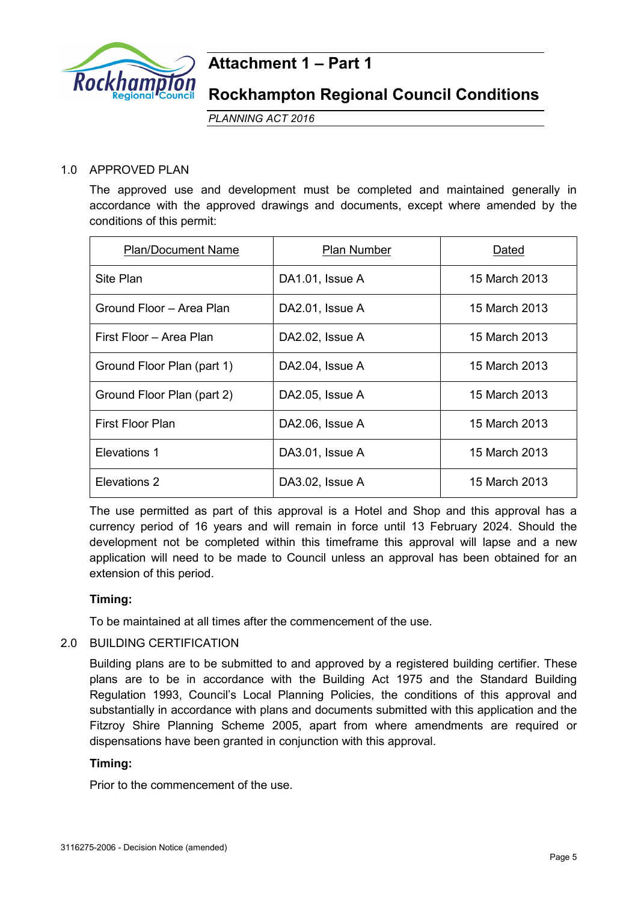

## **Attachment 1 – Part 1**

## **Rockhampton Regional Council Conditions**

*PLANNING ACT 2016*

## 1.0 APPROVED PLAN

The approved use and development must be completed and maintained generally in accordance with the approved drawings and documents, except where amended by the conditions of this permit:

| <b>Plan/Document Name</b>  | Plan Number     | Dated         |
|----------------------------|-----------------|---------------|
| Site Plan                  | DA1.01, Issue A | 15 March 2013 |
| Ground Floor - Area Plan   | DA2.01, Issue A | 15 March 2013 |
| First Floor - Area Plan    | DA2.02, Issue A | 15 March 2013 |
| Ground Floor Plan (part 1) | DA2.04, Issue A | 15 March 2013 |
| Ground Floor Plan (part 2) | DA2.05, Issue A | 15 March 2013 |
| First Floor Plan           | DA2.06, Issue A | 15 March 2013 |
| Elevations 1               | DA3.01, Issue A | 15 March 2013 |
| Elevations 2               | DA3.02, Issue A | 15 March 2013 |

The use permitted as part of this approval is a Hotel and Shop and this approval has a currency period of 16 years and will remain in force until 13 February 2024. Should the development not be completed within this timeframe this approval will lapse and a new application will need to be made to Council unless an approval has been obtained for an extension of this period.

## **Timing:**

To be maintained at all times after the commencement of the use.

## 2.0 BUILDING CERTIFICATION

Building plans are to be submitted to and approved by a registered building certifier. These plans are to be in accordance with the Building Act 1975 and the Standard Building Regulation 1993, Council's Local Planning Policies, the conditions of this approval and substantially in accordance with plans and documents submitted with this application and the Fitzroy Shire Planning Scheme 2005, apart from where amendments are required or dispensations have been granted in conjunction with this approval.

## **Timing:**

Prior to the commencement of the use.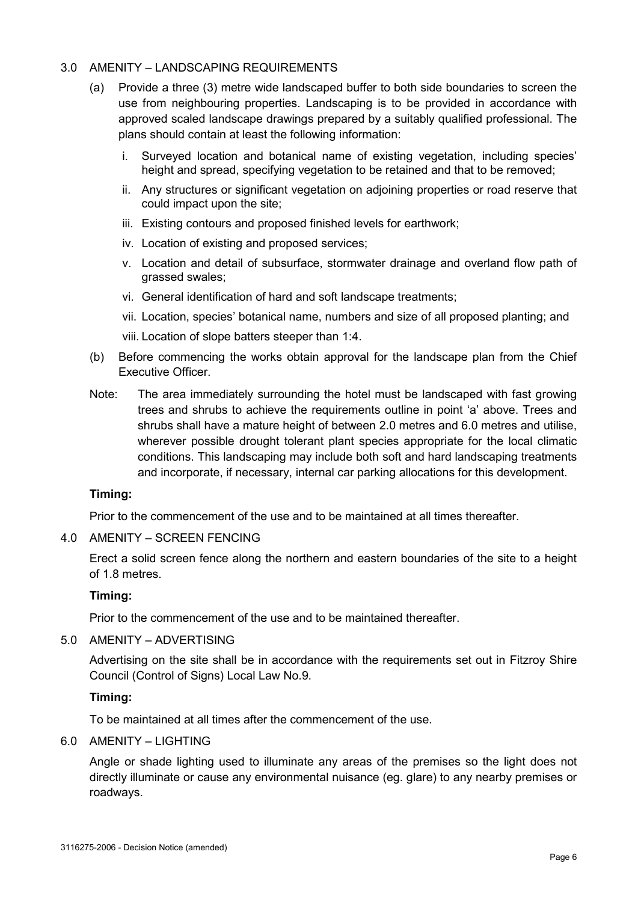## 3.0 AMENITY – LANDSCAPING REQUIREMENTS

- (a) Provide a three (3) metre wide landscaped buffer to both side boundaries to screen the use from neighbouring properties. Landscaping is to be provided in accordance with approved scaled landscape drawings prepared by a suitably qualified professional. The plans should contain at least the following information:
	- Surveyed location and botanical name of existing vegetation, including species' height and spread, specifying vegetation to be retained and that to be removed;
	- ii. Any structures or significant vegetation on adjoining properties or road reserve that could impact upon the site;
	- iii. Existing contours and proposed finished levels for earthwork;
	- iv. Location of existing and proposed services;
	- v. Location and detail of subsurface, stormwater drainage and overland flow path of grassed swales;
	- vi. General identification of hard and soft landscape treatments;
	- vii. Location, species' botanical name, numbers and size of all proposed planting; and
	- viii. Location of slope batters steeper than 1:4.
- (b) Before commencing the works obtain approval for the landscape plan from the Chief Executive Officer.
- Note: The area immediately surrounding the hotel must be landscaped with fast growing trees and shrubs to achieve the requirements outline in point 'a' above. Trees and shrubs shall have a mature height of between 2.0 metres and 6.0 metres and utilise, wherever possible drought tolerant plant species appropriate for the local climatic conditions. This landscaping may include both soft and hard landscaping treatments and incorporate, if necessary, internal car parking allocations for this development.

## **Timing:**

Prior to the commencement of the use and to be maintained at all times thereafter.

## 4.0 AMENITY – SCREEN FENCING

Erect a solid screen fence along the northern and eastern boundaries of the site to a height of 1.8 metres.

## **Timing:**

Prior to the commencement of the use and to be maintained thereafter.

## 5.0 AMENITY – ADVERTISING

Advertising on the site shall be in accordance with the requirements set out in Fitzroy Shire Council (Control of Signs) Local Law No.9.

## **Timing:**

To be maintained at all times after the commencement of the use.

## 6.0 AMENITY – LIGHTING

Angle or shade lighting used to illuminate any areas of the premises so the light does not directly illuminate or cause any environmental nuisance (eg. glare) to any nearby premises or roadways.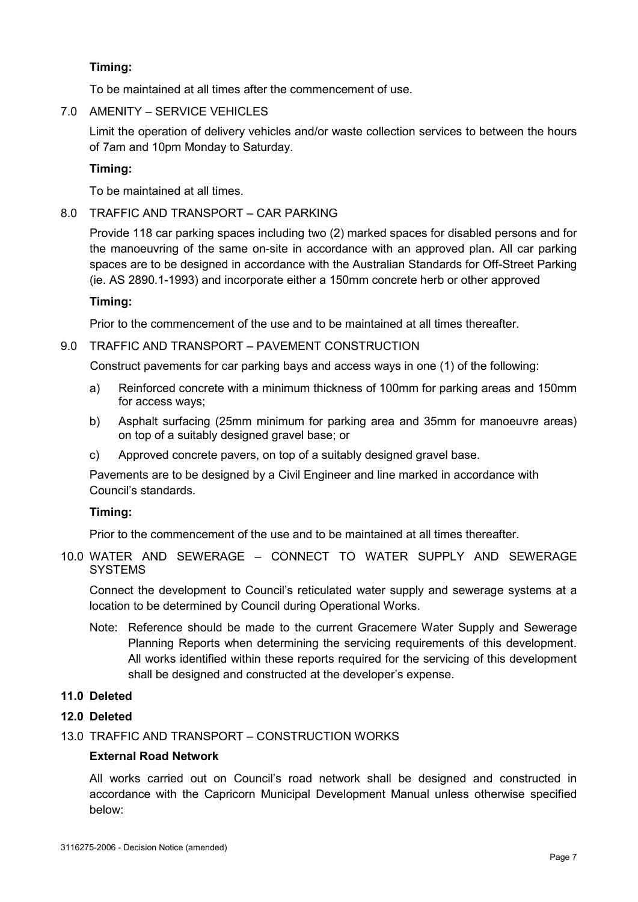## **Timing:**

To be maintained at all times after the commencement of use.

7.0 AMENITY – SERVICE VEHICLES

Limit the operation of delivery vehicles and/or waste collection services to between the hours of 7am and 10pm Monday to Saturday.

## **Timing:**

To be maintained at all times.

## 8.0 TRAFFIC AND TRANSPORT – CAR PARKING

Provide 118 car parking spaces including two (2) marked spaces for disabled persons and for the manoeuvring of the same on-site in accordance with an approved plan. All car parking spaces are to be designed in accordance with the Australian Standards for Off-Street Parking (ie. AS 2890.1-1993) and incorporate either a 150mm concrete herb or other approved

## **Timing:**

Prior to the commencement of the use and to be maintained at all times thereafter.

## 9.0 TRAFFIC AND TRANSPORT – PAVEMENT CONSTRUCTION

Construct pavements for car parking bays and access ways in one (1) of the following:

- a) Reinforced concrete with a minimum thickness of 100mm for parking areas and 150mm for access ways;
- b) Asphalt surfacing (25mm minimum for parking area and 35mm for manoeuvre areas) on top of a suitably designed gravel base; or
- c) Approved concrete pavers, on top of a suitably designed gravel base.

Pavements are to be designed by a Civil Engineer and line marked in accordance with Council's standards.

## **Timing:**

Prior to the commencement of the use and to be maintained at all times thereafter.

10.0 WATER AND SEWERAGE – CONNECT TO WATER SUPPLY AND SEWERAGE **SYSTEMS** 

Connect the development to Council's reticulated water supply and sewerage systems at a location to be determined by Council during Operational Works.

Note: Reference should be made to the current Gracemere Water Supply and Sewerage Planning Reports when determining the servicing requirements of this development. All works identified within these reports required for the servicing of this development shall be designed and constructed at the developer's expense.

## **11.0 Deleted**

## **12.0 Deleted**

13.0 TRAFFIC AND TRANSPORT – CONSTRUCTION WORKS

## **External Road Network**

All works carried out on Council's road network shall be designed and constructed in accordance with the Capricorn Municipal Development Manual unless otherwise specified below: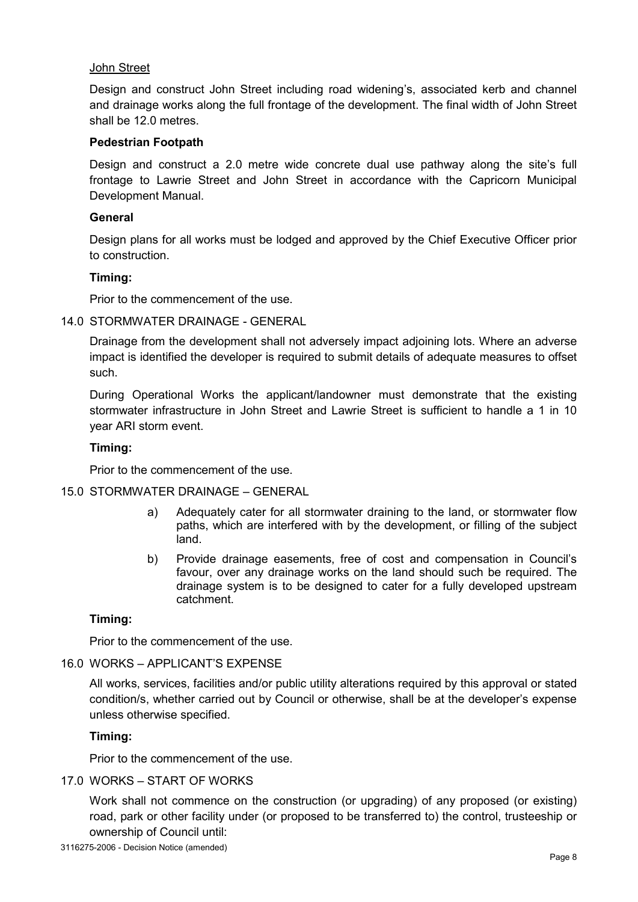#### John Street

Design and construct John Street including road widening's, associated kerb and channel and drainage works along the full frontage of the development. The final width of John Street shall be 12.0 metres.

#### **Pedestrian Footpath**

Design and construct a 2.0 metre wide concrete dual use pathway along the site's full frontage to Lawrie Street and John Street in accordance with the Capricorn Municipal Development Manual.

## **General**

Design plans for all works must be lodged and approved by the Chief Executive Officer prior to construction.

#### **Timing:**

Prior to the commencement of the use.

#### 14.0 STORMWATER DRAINAGE - GENERAL

Drainage from the development shall not adversely impact adjoining lots. Where an adverse impact is identified the developer is required to submit details of adequate measures to offset such.

During Operational Works the applicant/landowner must demonstrate that the existing stormwater infrastructure in John Street and Lawrie Street is sufficient to handle a 1 in 10 year ARI storm event.

#### **Timing:**

Prior to the commencement of the use.

## 15.0 STORMWATER DRAINAGE – GENERAL

- a) Adequately cater for all stormwater draining to the land, or stormwater flow paths, which are interfered with by the development, or filling of the subject land.
- b) Provide drainage easements, free of cost and compensation in Council's favour, over any drainage works on the land should such be required. The drainage system is to be designed to cater for a fully developed upstream catchment.

## **Timing:**

Prior to the commencement of the use.

## 16.0 WORKS – APPLICANT'S EXPENSE

All works, services, facilities and/or public utility alterations required by this approval or stated condition/s, whether carried out by Council or otherwise, shall be at the developer's expense unless otherwise specified.

## **Timing:**

Prior to the commencement of the use.

#### 17.0 WORKS – START OF WORKS

Work shall not commence on the construction (or upgrading) of any proposed (or existing) road, park or other facility under (or proposed to be transferred to) the control, trusteeship or ownership of Council until: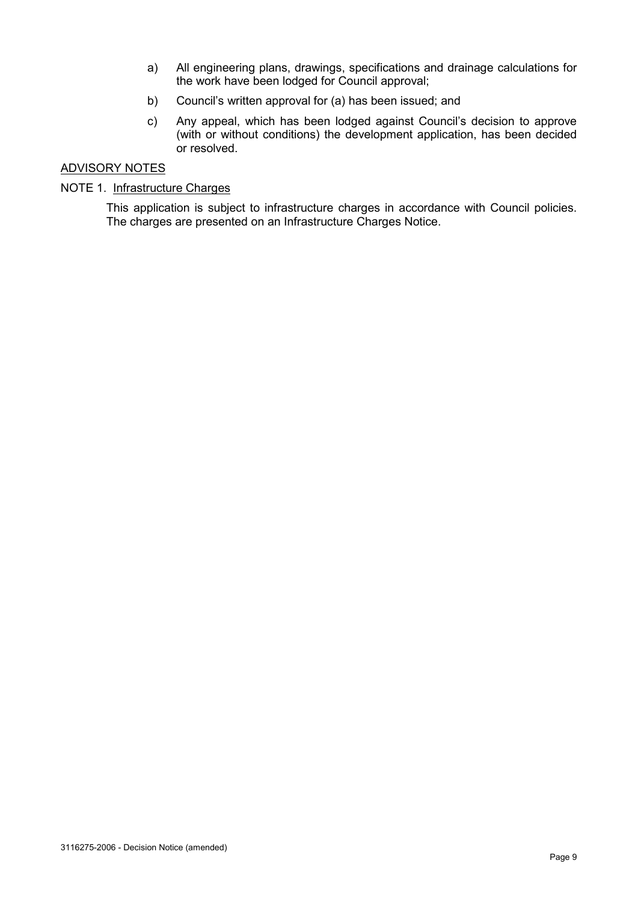- a) All engineering plans, drawings, specifications and drainage calculations for the work have been lodged for Council approval;
- b) Council's written approval for (a) has been issued; and
- c) Any appeal, which has been lodged against Council's decision to approve (with or without conditions) the development application, has been decided or resolved.

#### ADVISORY NOTES

## NOTE 1. Infrastructure Charges

This application is subject to infrastructure charges in accordance with Council policies. The charges are presented on an Infrastructure Charges Notice.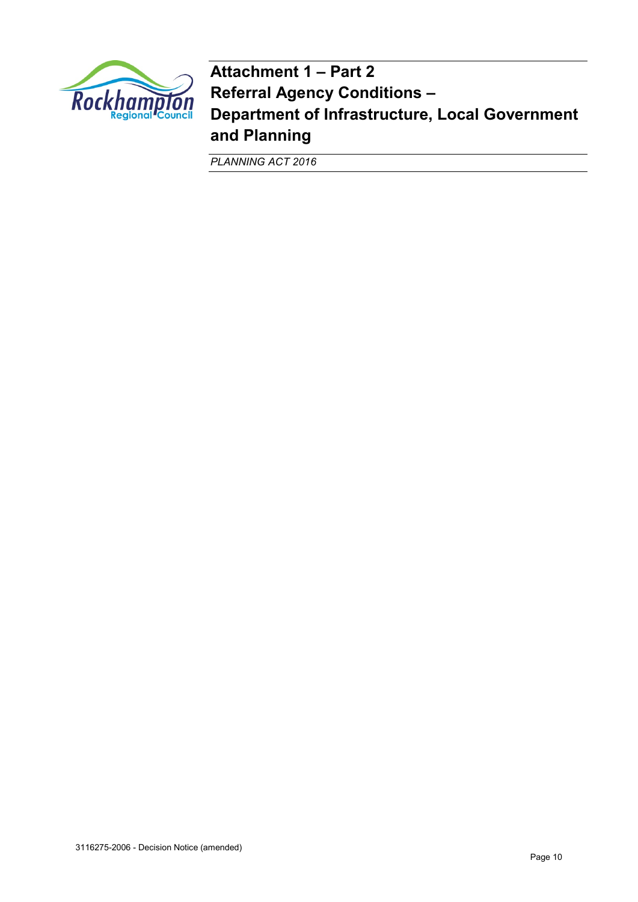

**Attachment 1 – Part 2 Referral Agency Conditions – Department of Infrastructure, Local Government and Planning** 

*PLANNING ACT 2016*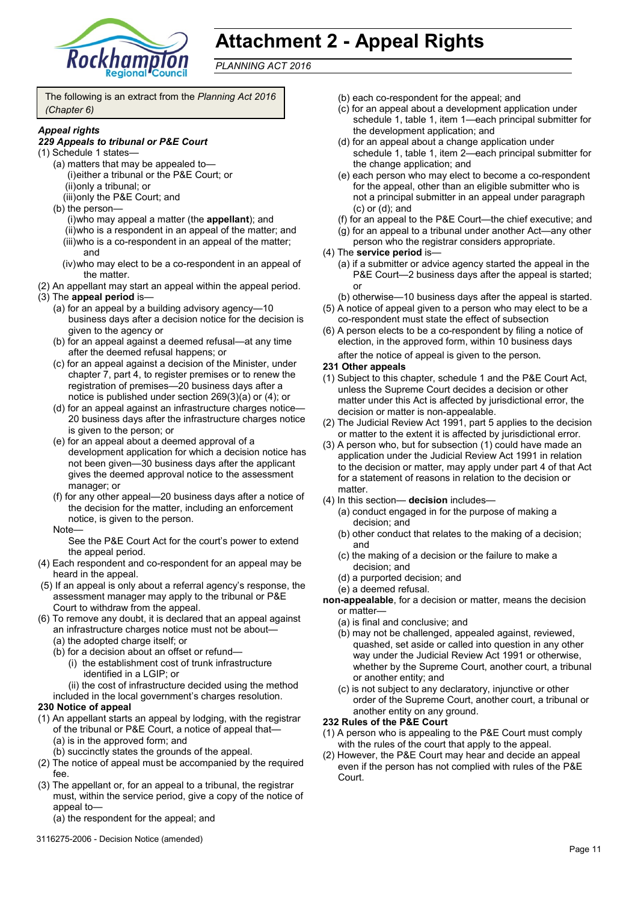

# **Attachment 2 - Appeal Rights**

*PLANNING ACT 2016*

The following is an extract from the *Planning Act 2016 (Chapter 6)*

#### *Appeal rights*

#### *229 Appeals to tribunal or P&E Court*

- (1) Schedule 1 states—
	- (a) matters that may be appealed to— (i)either a tribunal or the P&E Court; or (ii)only a tribunal; or
		- (iii)only the P&E Court; and
	- (b) the person—

(i)who may appeal a matter (the **appellant**); and (ii)who is a respondent in an appeal of the matter; and (iii)who is a co-respondent in an appeal of the matter; and

- (iv)who may elect to be a co-respondent in an appeal of the matter.
- (2) An appellant may start an appeal within the appeal period.
- (3) The **appeal period** is—
	- (a) for an appeal by a building advisory agency—10 business days after a decision notice for the decision is given to the agency or
	- (b) for an appeal against a deemed refusal—at any time after the deemed refusal happens; or
	- (c) for an appeal against a decision of the Minister, under chapter 7, part 4, to register premises or to renew the registration of premises—20 business days after a notice is published under section 269(3)(a) or (4); or
	- (d) for an appeal against an infrastructure charges notice— 20 business days after the infrastructure charges notice is given to the person; or
	- (e) for an appeal about a deemed approval of a development application for which a decision notice has not been given—30 business days after the applicant gives the deemed approval notice to the assessment manager; or
	- (f) for any other appeal—20 business days after a notice of the decision for the matter, including an enforcement notice, is given to the person.
	- Note—

See the P&E Court Act for the court's power to extend the appeal period.

- (4) Each respondent and co-respondent for an appeal may be heard in the appeal.
- (5) If an appeal is only about a referral agency's response, the assessment manager may apply to the tribunal or P&E Court to withdraw from the appeal.
- (6) To remove any doubt, it is declared that an appeal against an infrastructure charges notice must not be about—
	- (a) the adopted charge itself; or
	- (b) for a decision about an offset or refund—
		- (i) the establishment cost of trunk infrastructure identified in a LGIP; or
		- (ii) the cost of infrastructure decided using the method
	- included in the local government's charges resolution.

#### **230 Notice of appeal**

- (1) An appellant starts an appeal by lodging, with the registrar of the tribunal or P&E Court, a notice of appeal that— (a) is in the approved form; and
	- (b) succinctly states the grounds of the appeal.
- (2) The notice of appeal must be accompanied by the required fee.
- (3) The appellant or, for an appeal to a tribunal, the registrar must, within the service period, give a copy of the notice of appeal to—

(a) the respondent for the appeal; and

3116275-2006 - Decision Notice (amended)

- (b) each co-respondent for the appeal; and
- (c) for an appeal about a development application under schedule 1, table 1, item 1—each principal submitter for the development application; and
- (d) for an appeal about a change application under schedule 1, table 1, item 2—each principal submitter for the change application; and
- (e) each person who may elect to become a co-respondent for the appeal, other than an eligible submitter who is not a principal submitter in an appeal under paragraph (c) or (d); and
- (f) for an appeal to the P&E Court—the chief executive; and
- (g) for an appeal to a tribunal under another Act—any other person who the registrar considers appropriate.
- (4) The **service period** is—
	- (a) if a submitter or advice agency started the appeal in the P&E Court—2 business days after the appeal is started; or
	- (b) otherwise—10 business days after the appeal is started.
- (5) A notice of appeal given to a person who may elect to be a co-respondent must state the effect of subsection
- (6) A person elects to be a co-respondent by filing a notice of election, in the approved form, within 10 business days after the notice of appeal is given to the person*.*
- **231 Other appeals**
- (1) Subject to this chapter, schedule 1 and the P&E Court Act, unless the Supreme Court decides a decision or other matter under this Act is affected by jurisdictional error, the decision or matter is non-appealable.
- (2) The Judicial Review Act 1991, part 5 applies to the decision or matter to the extent it is affected by jurisdictional error.
- (3) A person who, but for subsection (1) could have made an application under the Judicial Review Act 1991 in relation to the decision or matter, may apply under part 4 of that Act for a statement of reasons in relation to the decision or matter
- (4) In this section— **decision** includes—
	- (a) conduct engaged in for the purpose of making a decision; and
	- (b) other conduct that relates to the making of a decision; and
	- (c) the making of a decision or the failure to make a decision; and
	- (d) a purported decision; and
	- (e) a deemed refusal.

**non-appealable**, for a decision or matter, means the decision or matter—

- (a) is final and conclusive; and
- (b) may not be challenged, appealed against, reviewed, quashed, set aside or called into question in any other way under the Judicial Review Act 1991 or otherwise, whether by the Supreme Court, another court, a tribunal or another entity; and
- (c) is not subject to any declaratory, injunctive or other order of the Supreme Court, another court, a tribunal or another entity on any ground.

#### **232 Rules of the P&E Court**

- (1) A person who is appealing to the P&E Court must comply with the rules of the court that apply to the appeal.
- (2) However, the P&E Court may hear and decide an appeal even if the person has not complied with rules of the P&E Court.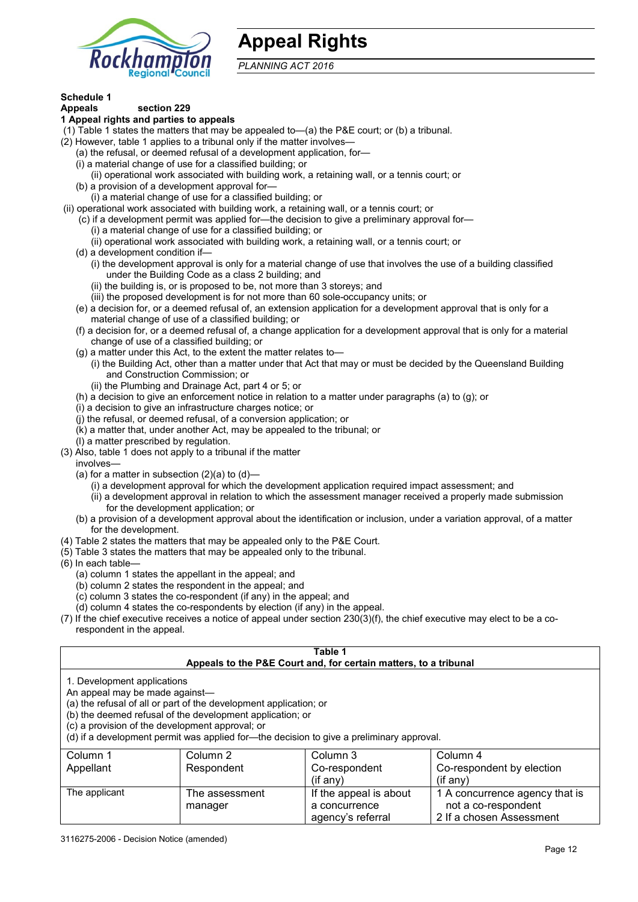

# **Appeal Rights**

*PLANNING ACT 2016*

# **Schedule 1**

#### **Appeals section 229 1 Appeal rights and parties to appeals**

- (1) Table 1 states the matters that may be appealed to—(a) the P&E court; or (b) a tribunal.
- (2) However, table 1 applies to a tribunal only if the matter involves—
	- (a) the refusal, or deemed refusal of a development application, for—
	- (i) a material change of use for a classified building; or
	- (ii) operational work associated with building work, a retaining wall, or a tennis court; or
	- (b) a provision of a development approval for—
	- (i) a material change of use for a classified building; or
- (ii) operational work associated with building work, a retaining wall, or a tennis court; or
	- (c) if a development permit was applied for—the decision to give a preliminary approval for—
		- (i) a material change of use for a classified building; or
		- (ii) operational work associated with building work, a retaining wall, or a tennis court; or
	- (d) a development condition if—
		- (i) the development approval is only for a material change of use that involves the use of a building classified under the Building Code as a class 2 building; and
		- (ii) the building is, or is proposed to be, not more than 3 storeys; and
		- (iii) the proposed development is for not more than 60 sole-occupancy units; or
	- (e) a decision for, or a deemed refusal of, an extension application for a development approval that is only for a material change of use of a classified building; or
	- (f) a decision for, or a deemed refusal of, a change application for a development approval that is only for a material change of use of a classified building; or
	- (g) a matter under this Act, to the extent the matter relates to—
		- (i) the Building Act, other than a matter under that Act that may or must be decided by the Queensland Building and Construction Commission; or
		- (ii) the Plumbing and Drainage Act, part 4 or 5; or
	- (h) a decision to give an enforcement notice in relation to a matter under paragraphs (a) to (g); or
	- (i) a decision to give an infrastructure charges notice; or
	- (j) the refusal, or deemed refusal, of a conversion application; or
	- (k) a matter that, under another Act, may be appealed to the tribunal; or
	- (l) a matter prescribed by regulation.
- (3) Also, table 1 does not apply to a tribunal if the matter
- involves—
	- (a) for a matter in subsection  $(2)(a)$  to  $(d)$ 
		- (i) a development approval for which the development application required impact assessment; and
		- (ii) a development approval in relation to which the assessment manager received a properly made submission for the development application; or
	- (b) a provision of a development approval about the identification or inclusion, under a variation approval, of a matter for the development.
- (4) Table 2 states the matters that may be appealed only to the P&E Court.
- (5) Table 3 states the matters that may be appealed only to the tribunal.
- (6) In each table—
	- (a) column 1 states the appellant in the appeal; and
	- (b) column 2 states the respondent in the appeal; and
	- (c) column 3 states the co-respondent (if any) in the appeal; and
	- (d) column 4 states the co-respondents by election (if any) in the appeal.
- (7) If the chief executive receives a notice of appeal under section 230(3)(f), the chief executive may elect to be a corespondent in the appeal.

| Table 1<br>Appeals to the P&E Court and, for certain matters, to a tribunal                                                                                                                                                                                                                                                                    |                                                          |                        |                                |  |  |
|------------------------------------------------------------------------------------------------------------------------------------------------------------------------------------------------------------------------------------------------------------------------------------------------------------------------------------------------|----------------------------------------------------------|------------------------|--------------------------------|--|--|
| 1. Development applications<br>An appeal may be made against-<br>(a) the refusal of all or part of the development application; or<br>(b) the deemed refusal of the development application; or<br>(c) a provision of the development approval; or<br>(d) if a development permit was applied for-the decision to give a preliminary approval. |                                                          |                        |                                |  |  |
| Column 1                                                                                                                                                                                                                                                                                                                                       | Column 2                                                 | Column 3               | Column 4                       |  |  |
| Appellant                                                                                                                                                                                                                                                                                                                                      | Co-respondent by election<br>Respondent<br>Co-respondent |                        |                                |  |  |
| $($ if any $)$<br>$(if$ any)                                                                                                                                                                                                                                                                                                                   |                                                          |                        |                                |  |  |
| The applicant                                                                                                                                                                                                                                                                                                                                  | The assessment                                           | If the appeal is about | 1 A concurrence agency that is |  |  |
|                                                                                                                                                                                                                                                                                                                                                | manager                                                  | a concurrence          | not a co-respondent            |  |  |

agency's referral

| 2 If a chosen Assessment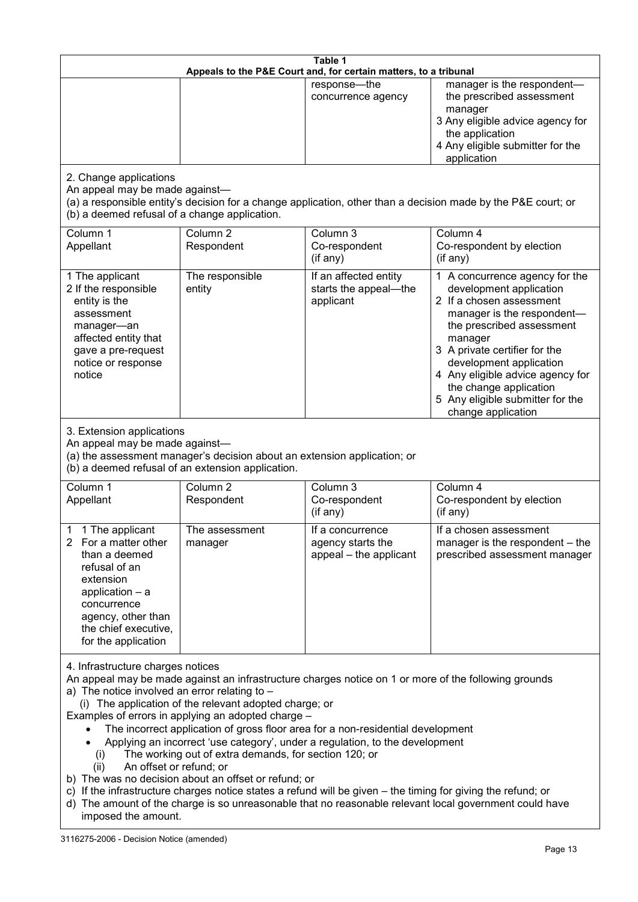| Table 1<br>Appeals to the P&E Court and, for certain matters, to a tribunal                                                                                                                                                                                                                                                                                                                                                                                                                                                                                                                                                                                                                                                                                                                                                                                                                 |                                                                                                                               |                                                                 |                                                                                                                                                                                                                                                                                                                                                 |
|---------------------------------------------------------------------------------------------------------------------------------------------------------------------------------------------------------------------------------------------------------------------------------------------------------------------------------------------------------------------------------------------------------------------------------------------------------------------------------------------------------------------------------------------------------------------------------------------------------------------------------------------------------------------------------------------------------------------------------------------------------------------------------------------------------------------------------------------------------------------------------------------|-------------------------------------------------------------------------------------------------------------------------------|-----------------------------------------------------------------|-------------------------------------------------------------------------------------------------------------------------------------------------------------------------------------------------------------------------------------------------------------------------------------------------------------------------------------------------|
|                                                                                                                                                                                                                                                                                                                                                                                                                                                                                                                                                                                                                                                                                                                                                                                                                                                                                             |                                                                                                                               | response-the<br>concurrence agency                              | manager is the respondent-<br>the prescribed assessment<br>manager<br>3 Any eligible advice agency for<br>the application<br>4 Any eligible submitter for the<br>application                                                                                                                                                                    |
| 2. Change applications<br>An appeal may be made against-<br>(b) a deemed refusal of a change application.                                                                                                                                                                                                                                                                                                                                                                                                                                                                                                                                                                                                                                                                                                                                                                                   |                                                                                                                               |                                                                 | (a) a responsible entity's decision for a change application, other than a decision made by the P&E court; or                                                                                                                                                                                                                                   |
| Column 1<br>Appellant                                                                                                                                                                                                                                                                                                                                                                                                                                                                                                                                                                                                                                                                                                                                                                                                                                                                       | Column <sub>2</sub><br>Respondent                                                                                             | Column 3<br>Co-respondent<br>(if any)                           | Column 4<br>Co-respondent by election<br>(if any)                                                                                                                                                                                                                                                                                               |
| 1 The applicant<br>2 If the responsible<br>entity is the<br>assessment<br>manager-an<br>affected entity that<br>gave a pre-request<br>notice or response<br>notice                                                                                                                                                                                                                                                                                                                                                                                                                                                                                                                                                                                                                                                                                                                          | The responsible<br>entity                                                                                                     | If an affected entity<br>starts the appeal-the<br>applicant     | 1 A concurrence agency for the<br>development application<br>2 If a chosen assessment<br>manager is the respondent-<br>the prescribed assessment<br>manager<br>3 A private certifier for the<br>development application<br>4 Any eligible advice agency for<br>the change application<br>5 Any eligible submitter for the<br>change application |
| 3. Extension applications<br>An appeal may be made against-                                                                                                                                                                                                                                                                                                                                                                                                                                                                                                                                                                                                                                                                                                                                                                                                                                 | (a) the assessment manager's decision about an extension application; or<br>(b) a deemed refusal of an extension application. |                                                                 |                                                                                                                                                                                                                                                                                                                                                 |
| Column 1<br>Appellant                                                                                                                                                                                                                                                                                                                                                                                                                                                                                                                                                                                                                                                                                                                                                                                                                                                                       | Column <sub>2</sub><br>Respondent                                                                                             | Column 3<br>Co-respondent<br>(if any)                           | Column 4<br>Co-respondent by election<br>(if any)                                                                                                                                                                                                                                                                                               |
| 1 1 The applicant<br>2 For a matter other<br>than a deemed<br>refusal of an<br>extension<br>application $-$ a<br>concurrence<br>agency, other than<br>the chief executive,<br>for the application                                                                                                                                                                                                                                                                                                                                                                                                                                                                                                                                                                                                                                                                                           | The assessment<br>manager                                                                                                     | If a concurrence<br>agency starts the<br>appeal - the applicant | If a chosen assessment<br>manager is the respondent - the<br>prescribed assessment manager                                                                                                                                                                                                                                                      |
| 4. Infrastructure charges notices<br>An appeal may be made against an infrastructure charges notice on 1 or more of the following grounds<br>a) The notice involved an error relating to $-$<br>(i) The application of the relevant adopted charge; or<br>Examples of errors in applying an adopted charge -<br>The incorrect application of gross floor area for a non-residential development<br>Applying an incorrect 'use category', under a regulation, to the development<br>The working out of extra demands, for section 120; or<br>(i)<br>An offset or refund; or<br>(ii)<br>b) The was no decision about an offset or refund; or<br>c) If the infrastructure charges notice states a refund will be given – the timing for giving the refund; or<br>d) The amount of the charge is so unreasonable that no reasonable relevant local government could have<br>imposed the amount. |                                                                                                                               |                                                                 |                                                                                                                                                                                                                                                                                                                                                 |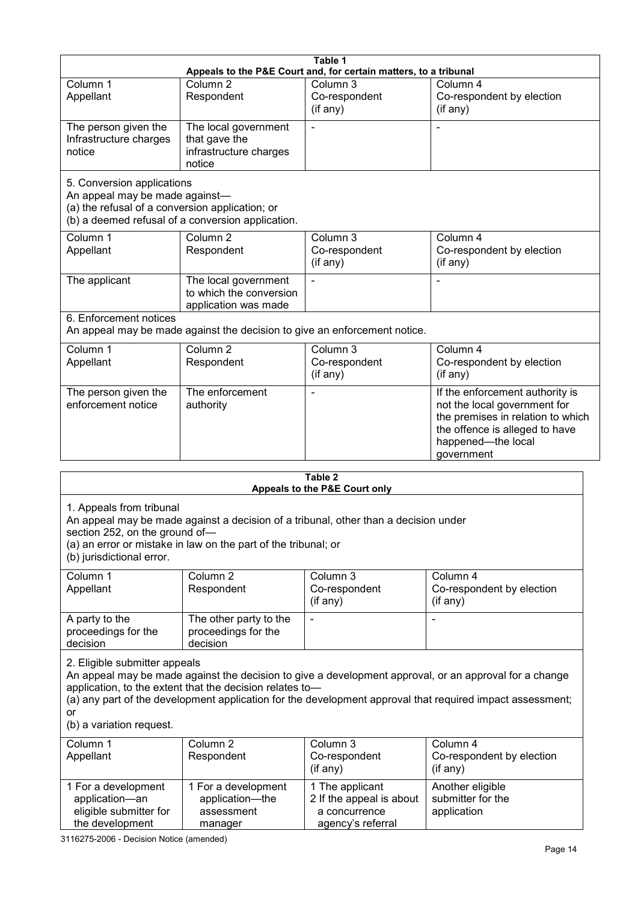|                                                                                                                 |                                                                                                                                                       | Table 1                                                                           |                                                                                                                                                                                                                     |  |  |
|-----------------------------------------------------------------------------------------------------------------|-------------------------------------------------------------------------------------------------------------------------------------------------------|-----------------------------------------------------------------------------------|---------------------------------------------------------------------------------------------------------------------------------------------------------------------------------------------------------------------|--|--|
|                                                                                                                 |                                                                                                                                                       | Appeals to the P&E Court and, for certain matters, to a tribunal                  |                                                                                                                                                                                                                     |  |  |
| Column 1<br>Appellant                                                                                           | Column <sub>2</sub><br>Respondent                                                                                                                     | Column 3<br>Co-respondent<br>(if any)                                             | Column 4<br>Co-respondent by election<br>(if any)                                                                                                                                                                   |  |  |
| The person given the<br>Infrastructure charges<br>notice                                                        | The local government<br>that gave the<br>infrastructure charges<br>notice                                                                             | $\blacksquare$                                                                    | $\blacksquare$                                                                                                                                                                                                      |  |  |
| 5. Conversion applications<br>An appeal may be made against-<br>(a) the refusal of a conversion application; or | (b) a deemed refusal of a conversion application.                                                                                                     |                                                                                   |                                                                                                                                                                                                                     |  |  |
| Column 1<br>Appellant                                                                                           | Column <sub>2</sub><br>Respondent                                                                                                                     | Column 3<br>Co-respondent<br>(if any)                                             | Column 4<br>Co-respondent by election<br>$($ if any $)$                                                                                                                                                             |  |  |
| The applicant                                                                                                   | The local government<br>to which the conversion<br>application was made                                                                               |                                                                                   |                                                                                                                                                                                                                     |  |  |
| 6. Enforcement notices                                                                                          | An appeal may be made against the decision to give an enforcement notice.                                                                             |                                                                                   |                                                                                                                                                                                                                     |  |  |
| Column 1<br>Appellant                                                                                           | Column <sub>2</sub><br>Respondent                                                                                                                     | Column 3<br>Co-respondent<br>(if any)                                             | Column 4<br>Co-respondent by election<br>(if any)                                                                                                                                                                   |  |  |
| The person given the<br>enforcement notice                                                                      | The enforcement<br>authority                                                                                                                          |                                                                                   | If the enforcement authority is<br>not the local government for<br>the premises in relation to which<br>the offence is alleged to have<br>happened-the local<br>government                                          |  |  |
|                                                                                                                 | Table 2                                                                                                                                               |                                                                                   |                                                                                                                                                                                                                     |  |  |
|                                                                                                                 |                                                                                                                                                       | Appeals to the P&E Court only                                                     |                                                                                                                                                                                                                     |  |  |
| 1. Appeals from tribunal<br>section 252, on the ground of-<br>(b) jurisdictional error.                         | An appeal may be made against a decision of a tribunal, other than a decision under<br>(a) an error or mistake in law on the part of the tribunal; or |                                                                                   |                                                                                                                                                                                                                     |  |  |
| Column 1<br>Appellant                                                                                           | Column <sub>2</sub><br>Respondent                                                                                                                     | Column 3<br>Co-respondent<br>(if any)                                             | Column 4<br>Co-respondent by election<br>(if any)                                                                                                                                                                   |  |  |
| A party to the<br>proceedings for the<br>decision                                                               | The other party to the<br>proceedings for the<br>decision                                                                                             |                                                                                   |                                                                                                                                                                                                                     |  |  |
| 2. Eligible submitter appeals<br>or<br>(b) a variation request.                                                 | application, to the extent that the decision relates to-                                                                                              |                                                                                   | An appeal may be made against the decision to give a development approval, or an approval for a change<br>(a) any part of the development application for the development approval that required impact assessment; |  |  |
| Column 1<br>Appellant                                                                                           | Column <sub>2</sub><br>Respondent                                                                                                                     | Column 3<br>Co-respondent<br>(if any)                                             | Column 4<br>Co-respondent by election<br>(if any)                                                                                                                                                                   |  |  |
| 1 For a development<br>application-an<br>eligible submitter for<br>the development                              | 1 For a development<br>application-the<br>assessment<br>manager                                                                                       | 1 The applicant<br>2 If the appeal is about<br>a concurrence<br>agency's referral | Another eligible<br>submitter for the<br>application                                                                                                                                                                |  |  |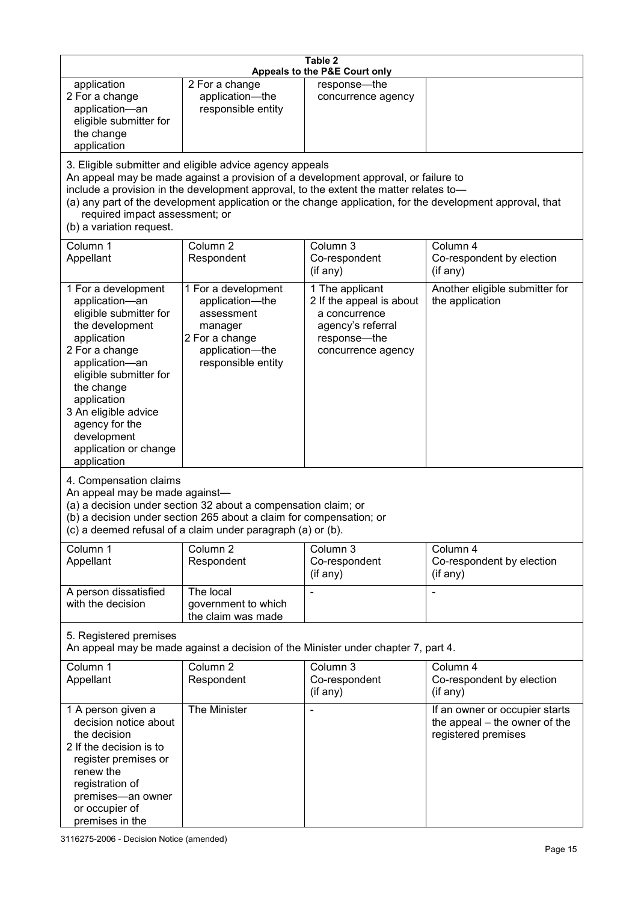| Table 2<br>Appeals to the P&E Court only                                                                                                                                                                                                                                                                                                                                                                           |                                                                                                                                                                                                      |                                                                                                                         |                                                                                        |
|--------------------------------------------------------------------------------------------------------------------------------------------------------------------------------------------------------------------------------------------------------------------------------------------------------------------------------------------------------------------------------------------------------------------|------------------------------------------------------------------------------------------------------------------------------------------------------------------------------------------------------|-------------------------------------------------------------------------------------------------------------------------|----------------------------------------------------------------------------------------|
| application<br>2 For a change<br>application-an<br>eligible submitter for<br>the change<br>application                                                                                                                                                                                                                                                                                                             | 2 For a change<br>application-the<br>responsible entity                                                                                                                                              | response-the<br>concurrence agency                                                                                      |                                                                                        |
| 3. Eligible submitter and eligible advice agency appeals<br>An appeal may be made against a provision of a development approval, or failure to<br>include a provision in the development approval, to the extent the matter relates to-<br>(a) any part of the development application or the change application, for the development approval, that<br>required impact assessment; or<br>(b) a variation request. |                                                                                                                                                                                                      |                                                                                                                         |                                                                                        |
| Column 1<br>Appellant                                                                                                                                                                                                                                                                                                                                                                                              | Column <sub>2</sub><br>Respondent                                                                                                                                                                    | Column 3<br>Co-respondent<br>(if any)                                                                                   | Column 4<br>Co-respondent by election<br>(if any)                                      |
| 1 For a development<br>application-an<br>eligible submitter for<br>the development<br>application<br>2 For a change<br>application-an<br>eligible submitter for<br>the change<br>application<br>3 An eligible advice<br>agency for the<br>development<br>application or change<br>application                                                                                                                      | 1 For a development<br>application-the<br>assessment<br>manager<br>2 For a change<br>application-the<br>responsible entity                                                                           | 1 The applicant<br>2 If the appeal is about<br>a concurrence<br>agency's referral<br>response-the<br>concurrence agency | Another eligible submitter for<br>the application                                      |
| 4. Compensation claims<br>An appeal may be made against-                                                                                                                                                                                                                                                                                                                                                           | (a) a decision under section 32 about a compensation claim; or<br>(b) a decision under section 265 about a claim for compensation; or<br>(c) a deemed refusal of a claim under paragraph (a) or (b). |                                                                                                                         |                                                                                        |
| Column 1<br>Appellant                                                                                                                                                                                                                                                                                                                                                                                              | Column <sub>2</sub><br>Respondent                                                                                                                                                                    | Column $3$<br>Co-respondent<br>(if any)                                                                                 | Column 4<br>Co-respondent by election<br>(if any)                                      |
| A person dissatisfied<br>with the decision                                                                                                                                                                                                                                                                                                                                                                         | The local<br>government to which<br>the claim was made                                                                                                                                               |                                                                                                                         |                                                                                        |
| 5. Registered premises                                                                                                                                                                                                                                                                                                                                                                                             |                                                                                                                                                                                                      | An appeal may be made against a decision of the Minister under chapter 7, part 4.                                       |                                                                                        |
| Column 1<br>Appellant                                                                                                                                                                                                                                                                                                                                                                                              | Column <sub>2</sub><br>Respondent                                                                                                                                                                    | Column 3<br>Co-respondent<br>(if any)                                                                                   | Column 4<br>Co-respondent by election<br>(if any)                                      |
| 1 A person given a<br>decision notice about<br>the decision<br>2 If the decision is to<br>register premises or<br>renew the<br>registration of<br>premises-an owner<br>or occupier of<br>premises in the                                                                                                                                                                                                           | The Minister                                                                                                                                                                                         |                                                                                                                         | If an owner or occupier starts<br>the appeal – the owner of the<br>registered premises |

3116275-2006 - Decision Notice (amended)